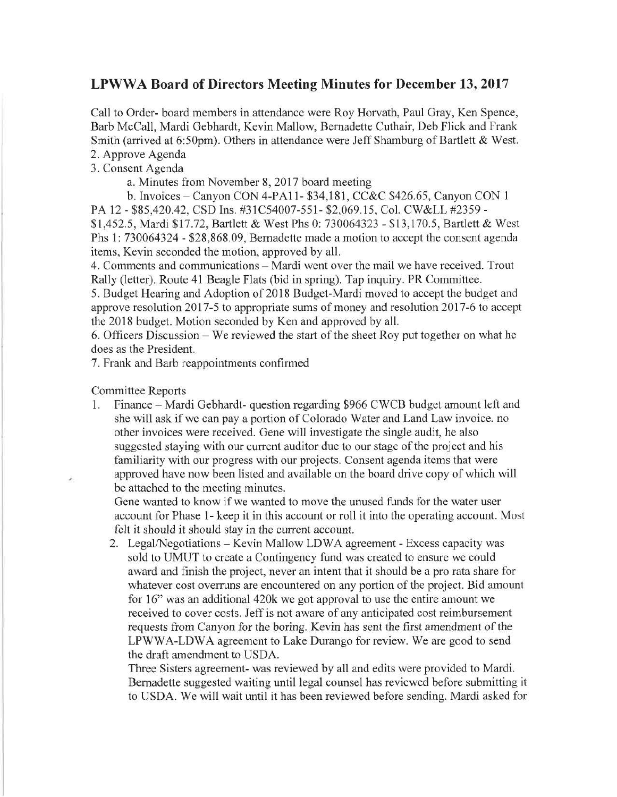## LPWWA Board of Directors Meeting Minutes for December 13, 2017

Call to Order- board members in attendance were Roy Horvath, Paul Gray, Ken Spence. Barb McCall, Mardi Gebhardt, Kevin Mallow, Bernadette Cuthair, Deb Flick and Frank Smith (arrived at 6:50pm). Others in attendance were Jeff Shamburg of Bartlett & West. 2. Approve Agenda

3. Consent Agenda

a. Minutes from November 8, 2017 board meeting

b. Invoices - Canyon CON 4-PA11- \$34,181, CC&C \$426.65, Canyon CON 1 PA 12 - \$85,420.42, CSD Ins. #31C54007-551- \$2,069.15, Col. CW&LL #2359 -

\$1,452.5, Mardi \$17.72, Bartlett & West Phs 0: 730064323 - \$13,170.5, Bartlett & West Phs 1: 730064324 - \$28,868.09, Bernadette made a motion to accept the consent agenda items, Kevin seconded the motion, approved by all.

4. Comments and communications - Mardi went over the mail we have received. Trout Rally (letter). Route 41 Beagle Flats (bid in spring). Tap inquiry. PR Committee.

5. Budget Hearing and Adoption of 2018 Budget-Mardi moved to accept the budget and approve resolution 2017-5 to appropriate sums of money and resolution 2017-6 to accept the 2018 budget. Motion seconded by Ken and approved by all.

6. Officers Discussion - We reviewed the start of the sheet Roy put together on what he does as the President.

7. Frank and Barb reappointments confirmed

Committee Reports

Î,

1. Finance - Mardi Gebhardt- question regarding \$966 CWCB budget amount left and she will ask if we can pay a portion of Colorado Water and Land Law invoice, no other invoices were received. Gene will investigate the single audit, he also suggested staying with our current auditor due to our stage of the project and his familiarity with our progress with our projects. Consent agenda items that were approved have now been listed and available on the board drive copy of which will be attached to the meeting minutes.

Gene wanted to know if we wanted to move the unused funds for the water user account for Phase 1- keep it in this account or roll it into the operating account. Most felt it should it should stay in the current account.

2. Legal/Negotiations - Kevin Mallow LDWA agreement - Excess capacity was sold to UMUT to create a Contingency fund was created to ensure we could award and finish the project, never an intent that it should be a pro rata share for whatever cost overruns are encountered on any portion of the project. Bid amount for 16" was an additional 420k we got approval to use the entire amount we received to cover costs. Jeff is not aware of any anticipated cost reimbursement requests from Canyon for the boring. Kevin has sent the first amendment of the LPWWA-LDWA agreement to Lake Durango for review. We are good to send the draft amendment to USDA.

Three Sisters agreement- was reviewed by all and edits were provided to Mardi. Bernadette suggested waiting until legal counsel has reviewed before submitting it to USDA. We will wait until it has been reviewed before sending. Mardi asked for